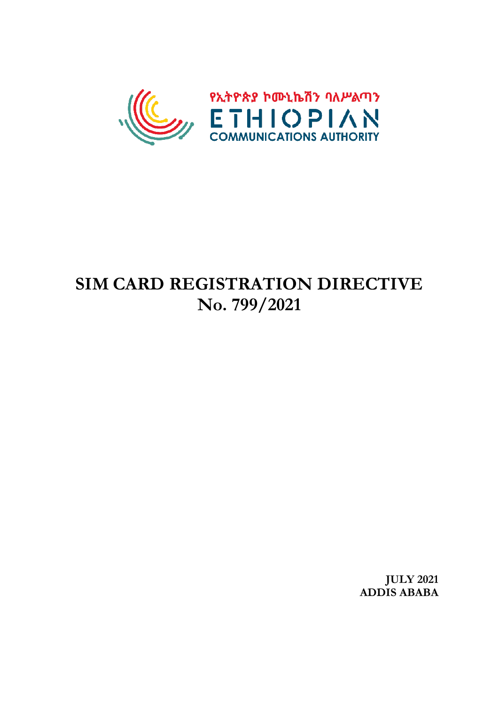

# **SIM CARD REGISTRATION DIRECTIVE No. 799/2021**

**JULY 2021 ADDIS ABABA**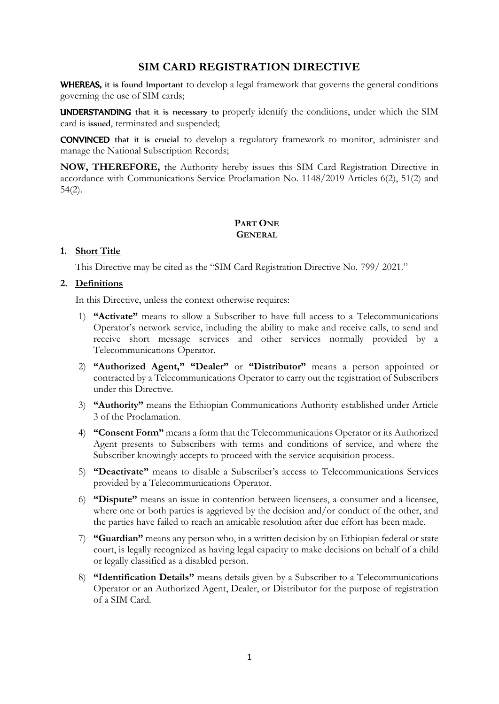# **SIM CARD REGISTRATION DIRECTIVE**

WHEREAS, it is found Important to develop a legal framework that governs the general conditions governing the use of SIM cards;

UNDERSTANDING that it is necessary to properly identify the conditions, under which the SIM card is issued, terminated and suspended;

CONVINCED that it is crucial to develop a regulatory framework to monitor, administer and manage the National Subscription Records;

**NOW, THEREFORE,** the Authority hereby issues this SIM Card Registration Directive in accordance with Communications Service Proclamation No. 1148/2019 Articles 6(2), 51(2) and 54(2).

# **PART ONE GENERAL**

#### **1. Short Title**

This Directive may be cited as the "SIM Card Registration Directive No. 799/ 2021."

## **2. Definitions**

In this Directive, unless the context otherwise requires:

- 1) **"Activate"** means to allow a Subscriber to have full access to a Telecommunications Operator's network service, including the ability to make and receive calls, to send and receive short message services and other services normally provided by a Telecommunications Operator.
- 2) **"Authorized Agent," "Dealer"** or **"Distributor"** means a person appointed or contracted by a Telecommunications Operator to carry out the registration of Subscribers under this Directive.
- 3) **"Authority"** means the Ethiopian Communications Authority established under Article 3 of the Proclamation.
- 4) **"Consent Form"** means a form that the Telecommunications Operator or its Authorized Agent presents to Subscribers with terms and conditions of service, and where the Subscriber knowingly accepts to proceed with the service acquisition process.
- 5) **"Deactivate"** means to disable a Subscriber's access to Telecommunications Services provided by a Telecommunications Operator.
- 6) **"Dispute"** means an issue in contention between licensees, a consumer and a licensee, where one or both parties is aggrieved by the decision and/or conduct of the other, and the parties have failed to reach an amicable resolution after due effort has been made.
- 7) **"Guardian"** means any person who, in a written decision by an Ethiopian federal or state court, is legally recognized as having legal capacity to make decisions on behalf of a child or legally classified as a disabled person.
- 8) **"Identification Details"** means details given by a Subscriber to a Telecommunications Operator or an Authorized Agent, Dealer, or Distributor for the purpose of registration of a SIM Card.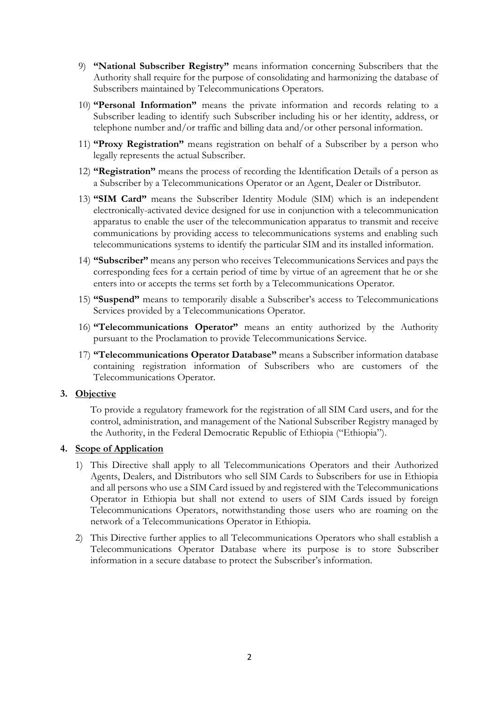- 9) **"National Subscriber Registry"** means information concerning Subscribers that the Authority shall require for the purpose of consolidating and harmonizing the database of Subscribers maintained by Telecommunications Operators.
- 10) **"Personal Information"** means the private information and records relating to a Subscriber leading to identify such Subscriber including his or her identity, address, or telephone number and/or traffic and billing data and/or other personal information.
- 11) **"Proxy Registration"** means registration on behalf of a Subscriber by a person who legally represents the actual Subscriber.
- 12) **"Registration"** means the process of recording the Identification Details of a person as a Subscriber by a Telecommunications Operator or an Agent, Dealer or Distributor.
- 13) **"SIM Card"** means the Subscriber Identity Module (SIM) which is an independent electronically-activated device designed for use in conjunction with a telecommunication apparatus to enable the user of the telecommunication apparatus to transmit and receive communications by providing access to telecommunications systems and enabling such telecommunications systems to identify the particular SIM and its installed information.
- 14) **"Subscriber"** means any person who receives Telecommunications Services and pays the corresponding fees for a certain period of time by virtue of an agreement that he or she enters into or accepts the terms set forth by a Telecommunications Operator.
- 15) **"Suspend"** means to temporarily disable a Subscriber's access to Telecommunications Services provided by a Telecommunications Operator.
- 16) **"Telecommunications Operator"** means an entity authorized by the Authority pursuant to the Proclamation to provide Telecommunications Service.
- 17) **"Telecommunications Operator Database"** means a Subscriber information database containing registration information of Subscribers who are customers of the Telecommunications Operator.

## **3. Objective**

To provide a regulatory framework for the registration of all SIM Card users, and for the control, administration, and management of the National Subscriber Registry managed by the Authority, in the Federal Democratic Republic of Ethiopia ("Ethiopia").

#### **4. Scope of Application**

- 1) This Directive shall apply to all Telecommunications Operators and their Authorized Agents, Dealers, and Distributors who sell SIM Cards to Subscribers for use in Ethiopia and all persons who use a SIM Card issued by and registered with the Telecommunications Operator in Ethiopia but shall not extend to users of SIM Cards issued by foreign Telecommunications Operators, notwithstanding those users who are roaming on the network of a Telecommunications Operator in Ethiopia.
- 2) This Directive further applies to all Telecommunications Operators who shall establish a Telecommunications Operator Database where its purpose is to store Subscriber information in a secure database to protect the Subscriber's information.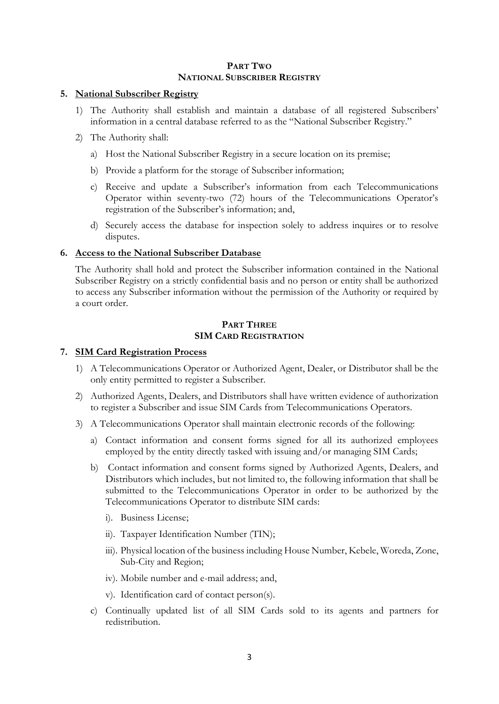#### **PART TWO NATIONAL SUBSCRIBER REGISTRY**

## **5. National Subscriber Registry**

- 1) The Authority shall establish and maintain a database of all registered Subscribers' information in a central database referred to as the "National Subscriber Registry."
- 2) The Authority shall:
	- a) Host the National Subscriber Registry in a secure location on its premise;
	- b) Provide a platform for the storage of Subscriber information;
	- c) Receive and update a Subscriber's information from each Telecommunications Operator within seventy-two (72) hours of the Telecommunications Operator's registration of the Subscriber's information; and,
	- d) Securely access the database for inspection solely to address inquires or to resolve disputes.

## **6. Access to the National Subscriber Database**

The Authority shall hold and protect the Subscriber information contained in the National Subscriber Registry on a strictly confidential basis and no person or entity shall be authorized to access any Subscriber information without the permission of the Authority or required by a court order.

## **PART THREE SIM CARD REGISTRATION**

## **7. SIM Card Registration Process**

- 1) A Telecommunications Operator or Authorized Agent, Dealer, or Distributor shall be the only entity permitted to register a Subscriber.
- 2) Authorized Agents, Dealers, and Distributors shall have written evidence of authorization to register a Subscriber and issue SIM Cards from Telecommunications Operators.
- 3) A Telecommunications Operator shall maintain electronic records of the following:
	- a) Contact information and consent forms signed for all its authorized employees employed by the entity directly tasked with issuing and/or managing SIM Cards;
	- b) Contact information and consent forms signed by Authorized Agents, Dealers, and Distributors which includes, but not limited to, the following information that shall be submitted to the Telecommunications Operator in order to be authorized by the Telecommunications Operator to distribute SIM cards:
		- i). Business License;
		- ii). Taxpayer Identification Number (TIN);
		- iii). Physical location of the business including House Number, Kebele, Woreda, Zone, Sub-City and Region;
		- iv). Mobile number and e-mail address; and,
		- v). Identification card of contact person(s).
	- c) Continually updated list of all SIM Cards sold to its agents and partners for redistribution.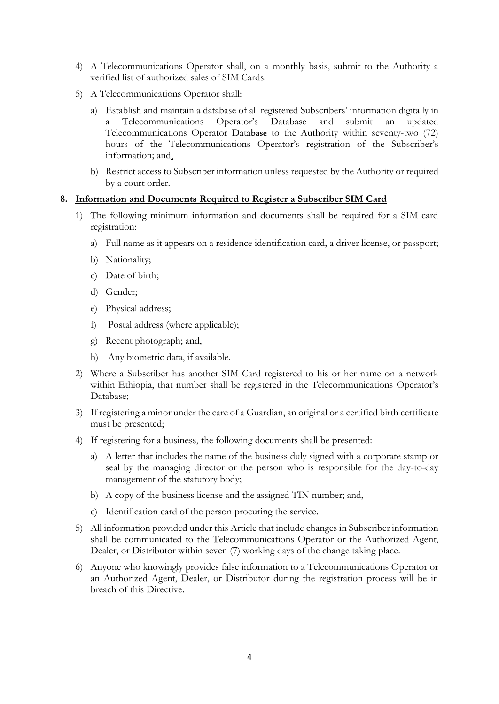- 4) A Telecommunications Operator shall, on a monthly basis, submit to the Authority a verified list of authorized sales of SIM Cards.
- 5) A Telecommunications Operator shall:
	- a) Establish and maintain a database of all registered Subscribers' information digitally in Telecommunications Operator's Database and submit an updated Telecommunications Operator Database to the Authority within seventy-two (72) hours of the Telecommunications Operator's registration of the Subscriber's information; and,
	- b) Restrict access to Subscriber information unless requested by the Authority or required by a court order.

#### **8. Information and Documents Required to Register a Subscriber SIM Card**

- 1) The following minimum information and documents shall be required for a SIM card registration:
	- a) Full name as it appears on a residence identification card, a driver license, or passport;
	- b) Nationality;
	- c) Date of birth;
	- d) Gender;
	- e) Physical address;
	- f) Postal address (where applicable);
	- g) Recent photograph; and,
	- h) Any biometric data, if available.
- 2) Where a Subscriber has another SIM Card registered to his or her name on a network within Ethiopia, that number shall be registered in the Telecommunications Operator's Database;
- 3) If registering a minor under the care of a Guardian, an original or a certified birth certificate must be presented;
- 4) If registering for a business, the following documents shall be presented:
	- a) A letter that includes the name of the business duly signed with a corporate stamp or seal by the managing director or the person who is responsible for the day-to-day management of the statutory body;
	- b) A copy of the business license and the assigned TIN number; and,
	- c) Identification card of the person procuring the service.
- 5) All information provided under this Article that include changes in Subscriber information shall be communicated to the Telecommunications Operator or the Authorized Agent, Dealer, or Distributor within seven (7) working days of the change taking place.
- 6) Anyone who knowingly provides false information to a Telecommunications Operator or an Authorized Agent, Dealer, or Distributor during the registration process will be in breach of this Directive.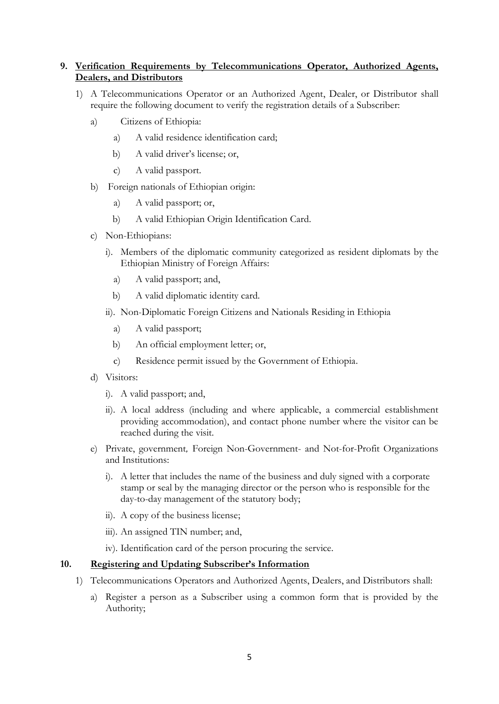# **9. Verification Requirements by Telecommunications Operator, Authorized Agents, Dealers, and Distributors**

- 1) A Telecommunications Operator or an Authorized Agent, Dealer, or Distributor shall require the following document to verify the registration details of a Subscriber:
	- a) Citizens of Ethiopia:
		- a) A valid residence identification card;
		- b) A valid driver's license; or,
		- c) A valid passport.
	- b) Foreign nationals of Ethiopian origin:
		- a) A valid passport; or,
		- b) A valid Ethiopian Origin Identification Card.
	- c) Non-Ethiopians:
		- i). Members of the diplomatic community categorized as resident diplomats by the Ethiopian Ministry of Foreign Affairs:
			- a) A valid passport; and,
			- b) A valid diplomatic identity card.
		- ii). Non-Diplomatic Foreign Citizens and Nationals Residing in Ethiopia
			- a) A valid passport;
			- b) An official employment letter; or,
			- c) Residence permit issued by the Government of Ethiopia.
	- d) Visitors:
		- i). A valid passport; and,
		- ii). A local address (including and where applicable, a commercial establishment providing accommodation), and contact phone number where the visitor can be reached during the visit.
	- e) Private, government, Foreign Non-Government- and Not-for-Profit Organizations and Institutions:
		- i). A letter that includes the name of the business and duly signed with a corporate stamp or seal by the managing director or the person who is responsible for the day-to-day management of the statutory body;
		- ii). A copy of the business license;
		- iii). An assigned TIN number; and,
		- iv). Identification card of the person procuring the service.

#### **10. Registering and Updating Subscriber's Information**

- 1) Telecommunications Operators and Authorized Agents, Dealers, and Distributors shall:
	- a) Register a person as a Subscriber using a common form that is provided by the Authority;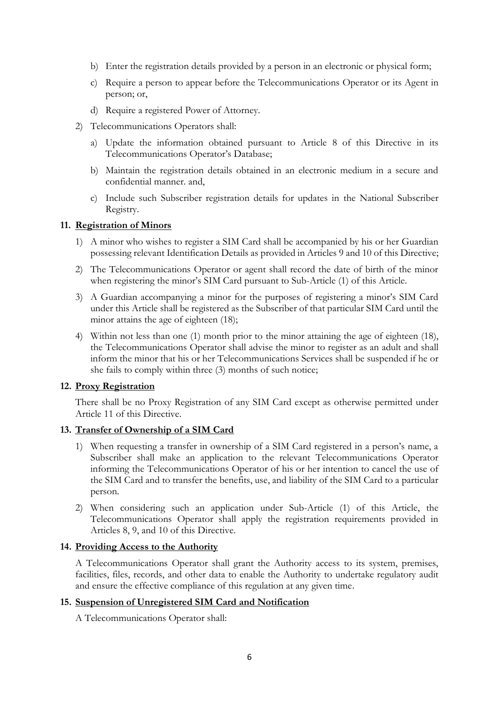- b) Enter the registration details provided by a person in an electronic or physical form;
- c) Require a person to appear before the Telecommunications Operator or its Agent in person; or,
- d) Require a registered Power of Attorney.
- 2) Telecommunications Operators shall:
	- a) Update the information obtained pursuant to Article 8 of this Directive in its Telecommunications Operator's Database;
	- b) Maintain the registration details obtained in an electronic medium in a secure and confidential manner. and,
	- c) Include such Subscriber registration details for updates in the National Subscriber Registry.

#### **11. Registration of Minors**

- 1) A minor who wishes to register a SIM Card shall be accompanied by his or her Guardian possessing relevant Identification Details as provided in Articles 9 and 10 of this Directive;
- 2) The Telecommunications Operator or agent shall record the date of birth of the minor when registering the minor's SIM Card pursuant to Sub-Article (1) of this Article.
- 3) A Guardian accompanying a minor for the purposes of registering a minor's SIM Card under this Article shall be registered as the Subscriber of that particular SIM Card until the minor attains the age of eighteen  $(18)$ ;
- 4) Within not less than one (1) month prior to the minor attaining the age of eighteen (18), the Telecommunications Operator shall advise the minor to register as an adult and shall inform the minor that his or her Telecommunications Services shall be suspended if he or she fails to comply within three (3) months of such notice;

#### **12. Proxy Registration**

There shall be no Proxy Registration of any SIM Card except as otherwise permitted under Article 11 of this Directive.

## **13. Transfer of Ownership of a SIM Card**

- 1) When requesting a transfer in ownership of a SIM Card registered in a person's name, a Subscriber shall make an application to the relevant Telecommunications Operator informing the Telecommunications Operator of his or her intention to cancel the use of the SIM Card and to transfer the benefits, use, and liability of the SIM Card to a particular person.
- 2) When considering such an application under Sub-Article (1) of this Article, the Telecommunications Operator shall apply the registration requirements provided in Articles 8, 9, and 10 of this Directive.

## **14. Providing Access to the Authority**

A Telecommunications Operator shall grant the Authority access to its system, premises, facilities, files, records, and other data to enable the Authority to undertake regulatory audit and ensure the effective compliance of this regulation at any given time.

#### **15. Suspension of Unregistered SIM Card and Notification**

A Telecommunications Operator shall: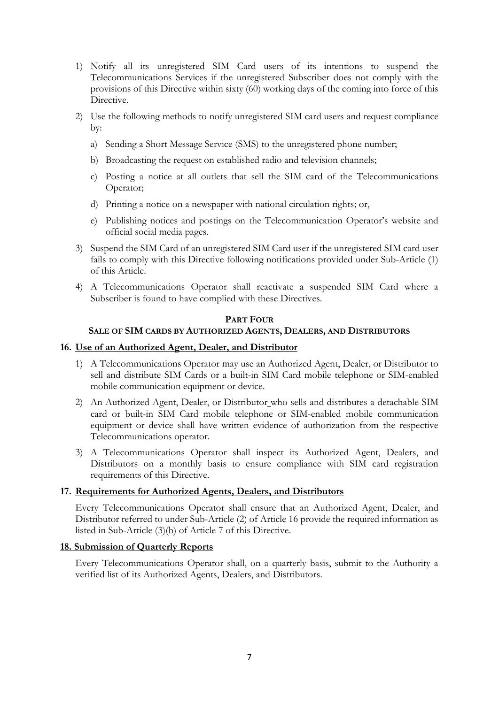- 1) Notify all its unregistered SIM Card users of its intentions to suspend the Telecommunications Services if the unregistered Subscriber does not comply with the provisions of this Directive within sixty (60) working days of the coming into force of this Directive.
- 2) Use the following methods to notify unregistered SIM card users and request compliance by:
	- a) Sending a Short Message Service (SMS) to the unregistered phone number;
	- b) Broadcasting the request on established radio and television channels;
	- c) Posting a notice at all outlets that sell the SIM card of the Telecommunications Operator;
	- d) Printing a notice on a newspaper with national circulation rights; or,
	- e) Publishing notices and postings on the Telecommunication Operator's website and official social media pages.
- 3) Suspend the SIM Card of an unregistered SIM Card user if the unregistered SIM card user fails to comply with this Directive following notifications provided under Sub-Article (1) of this Article.
- 4) A Telecommunications Operator shall reactivate a suspended SIM Card where a Subscriber is found to have complied with these Directives.

#### **PART FOUR**

#### **SALE OF SIM CARDS BY AUTHORIZED AGENTS, DEALERS, AND DISTRIBUTORS**

#### **16. Use of an Authorized Agent, Dealer, and Distributor**

- 1) A Telecommunications Operator may use an Authorized Agent, Dealer, or Distributor to sell and distribute SIM Cards or a built-in SIM Card mobile telephone or SIM-enabled mobile communication equipment or device.
- 2) An Authorized Agent, Dealer, or Distributor who sells and distributes a detachable SIM card or built-in SIM Card mobile telephone or SIM-enabled mobile communication equipment or device shall have written evidence of authorization from the respective Telecommunications operator.
- 3) A Telecommunications Operator shall inspect its Authorized Agent, Dealers, and Distributors on a monthly basis to ensure compliance with SIM card registration requirements of this Directive.

#### **17. Requirements for Authorized Agents, Dealers, and Distributors**

Every Telecommunications Operator shall ensure that an Authorized Agent, Dealer, and Distributor referred to under Sub-Article (2) of Article 16 provide the required information as listed in Sub-Article (3)(b) of Article 7 of this Directive.

#### **18. Submission of Quarterly Reports**

Every Telecommunications Operator shall, on a quarterly basis, submit to the Authority a verified list of its Authorized Agents, Dealers, and Distributors.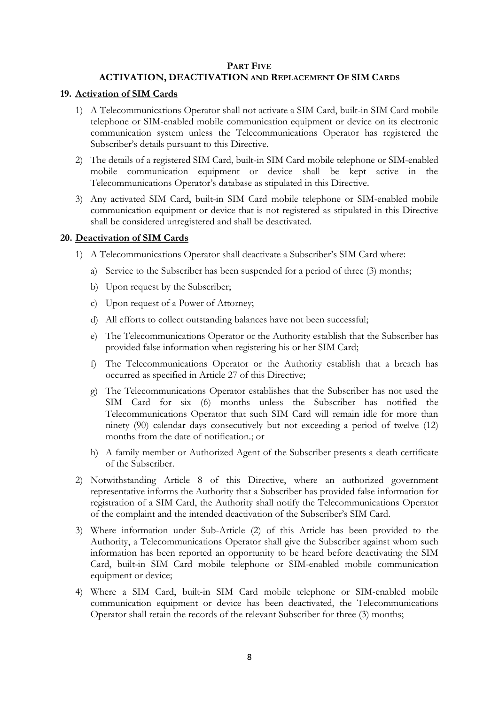#### **PART FIVE**

## **ACTIVATION, DEACTIVATION AND REPLACEMENT OF SIM CARDS**

#### **19. Activation of SIM Cards**

- 1) A Telecommunications Operator shall not activate a SIM Card, built-in SIM Card mobile telephone or SIM-enabled mobile communication equipment or device on its electronic communication system unless the Telecommunications Operator has registered the Subscriber's details pursuant to this Directive.
- 2) The details of a registered SIM Card, built-in SIM Card mobile telephone or SIM-enabled mobile communication equipment or device shall be kept active in the Telecommunications Operator's database as stipulated in this Directive.
- 3) Any activated SIM Card, built-in SIM Card mobile telephone or SIM-enabled mobile communication equipment or device that is not registered as stipulated in this Directive shall be considered unregistered and shall be deactivated.

#### **20. Deactivation of SIM Cards**

- 1) A Telecommunications Operator shall deactivate a Subscriber's SIM Card where:
	- a) Service to the Subscriber has been suspended for a period of three (3) months;
	- b) Upon request by the Subscriber;
	- c) Upon request of a Power of Attorney;
	- d) All efforts to collect outstanding balances have not been successful;
	- e) The Telecommunications Operator or the Authority establish that the Subscriber has provided false information when registering his or her SIM Card;
	- f) The Telecommunications Operator or the Authority establish that a breach has occurred as specified in Article 27 of this Directive;
	- g) The Telecommunications Operator establishes that the Subscriber has not used the SIM Card for six (6) months unless the Subscriber has notified the Telecommunications Operator that such SIM Card will remain idle for more than ninety (90) calendar days consecutively but not exceeding a period of twelve (12) months from the date of notification.; or
	- h) A family member or Authorized Agent of the Subscriber presents a death certificate of the Subscriber.
- 2) Notwithstanding Article 8 of this Directive, where an authorized government representative informs the Authority that a Subscriber has provided false information for registration of a SIM Card, the Authority shall notify the Telecommunications Operator of the complaint and the intended deactivation of the Subscriber's SIM Card.
- 3) Where information under Sub-Article (2) of this Article has been provided to the Authority, a Telecommunications Operator shall give the Subscriber against whom such information has been reported an opportunity to be heard before deactivating the SIM Card, built-in SIM Card mobile telephone or SIM-enabled mobile communication equipment or device;
- 4) Where a SIM Card, built-in SIM Card mobile telephone or SIM-enabled mobile communication equipment or device has been deactivated, the Telecommunications Operator shall retain the records of the relevant Subscriber for three (3) months;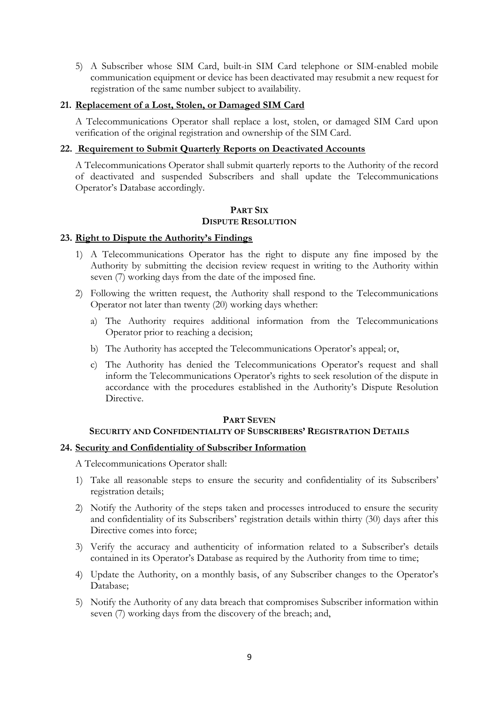5) A Subscriber whose SIM Card, built-in SIM Card telephone or SIM-enabled mobile communication equipment or device has been deactivated may resubmit a new request for registration of the same number subject to availability.

## **21. Replacement of a Lost, Stolen, or Damaged SIM Card**

A Telecommunications Operator shall replace a lost, stolen, or damaged SIM Card upon verification of the original registration and ownership of the SIM Card.

## **22. Requirement to Submit Quarterly Reports on Deactivated Accounts**

A Telecommunications Operator shall submit quarterly reports to the Authority of the record of deactivated and suspended Subscribers and shall update the Telecommunications Operator's Database accordingly.

#### **PART SIX DISPUTE RESOLUTION**

## **23. Right to Dispute the Authority's Findings**

- 1) A Telecommunications Operator has the right to dispute any fine imposed by the Authority by submitting the decision review request in writing to the Authority within seven (7) working days from the date of the imposed fine.
- 2) Following the written request, the Authority shall respond to the Telecommunications Operator not later than twenty (20) working days whether:
	- a) The Authority requires additional information from the Telecommunications Operator prior to reaching a decision;
	- b) The Authority has accepted the Telecommunications Operator's appeal; or,
	- c) The Authority has denied the Telecommunications Operator's request and shall inform the Telecommunications Operator's rights to seek resolution of the dispute in accordance with the procedures established in the Authority's Dispute Resolution Directive.

#### **PART SEVEN**

## **SECURITY AND CONFIDENTIALITY OF SUBSCRIBERS' REGISTRATION DETAILS**

## **24. Security and Confidentiality of Subscriber Information**

A Telecommunications Operator shall:

- 1) Take all reasonable steps to ensure the security and confidentiality of its Subscribers' registration details;
- 2) Notify the Authority of the steps taken and processes introduced to ensure the security and confidentiality of its Subscribers' registration details within thirty (30) days after this Directive comes into force;
- 3) Verify the accuracy and authenticity of information related to a Subscriber's details contained in its Operator's Database as required by the Authority from time to time;
- 4) Update the Authority, on a monthly basis, of any Subscriber changes to the Operator's Database;
- 5) Notify the Authority of any data breach that compromises Subscriber information within seven (7) working days from the discovery of the breach; and,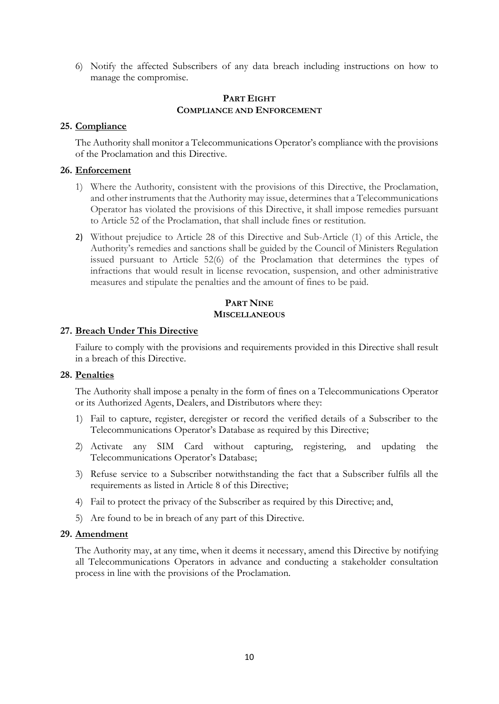6) Notify the affected Subscribers of any data breach including instructions on how to manage the compromise.

### **PART EIGHT COMPLIANCE AND ENFORCEMENT**

#### **25. Compliance**

The Authority shall monitor a Telecommunications Operator's compliance with the provisions of the Proclamation and this Directive.

#### **26. Enforcement**

- 1) Where the Authority, consistent with the provisions of this Directive, the Proclamation, and other instruments that the Authority may issue, determines that a Telecommunications Operator has violated the provisions of this Directive, it shall impose remedies pursuant to Article 52 of the Proclamation, that shall include fines or restitution.
- 2) Without prejudice to Article 28 of this Directive and Sub-Article (1) of this Article, the Authority's remedies and sanctions shall be guided by the Council of Ministers Regulation issued pursuant to Article 52(6) of the Proclamation that determines the types of infractions that would result in license revocation, suspension, and other administrative measures and stipulate the penalties and the amount of fines to be paid.

## **PART NINE MISCELLANEOUS**

#### **27. Breach Under This Directive**

Failure to comply with the provisions and requirements provided in this Directive shall result in a breach of this Directive.

#### **28. Penalties**

The Authority shall impose a penalty in the form of fines on a Telecommunications Operator or its Authorized Agents, Dealers, and Distributors where they:

- 1) Fail to capture, register, deregister or record the verified details of a Subscriber to the Telecommunications Operator's Database as required by this Directive;
- 2) Activate any SIM Card without capturing, registering, and updating the Telecommunications Operator's Database;
- 3) Refuse service to a Subscriber notwithstanding the fact that a Subscriber fulfils all the requirements as listed in Article 8 of this Directive;
- 4) Fail to protect the privacy of the Subscriber as required by this Directive; and,
- 5) Are found to be in breach of any part of this Directive.

#### **29. Amendment**

The Authority may, at any time, when it deems it necessary, amend this Directive by notifying all Telecommunications Operators in advance and conducting a stakeholder consultation process in line with the provisions of the Proclamation.